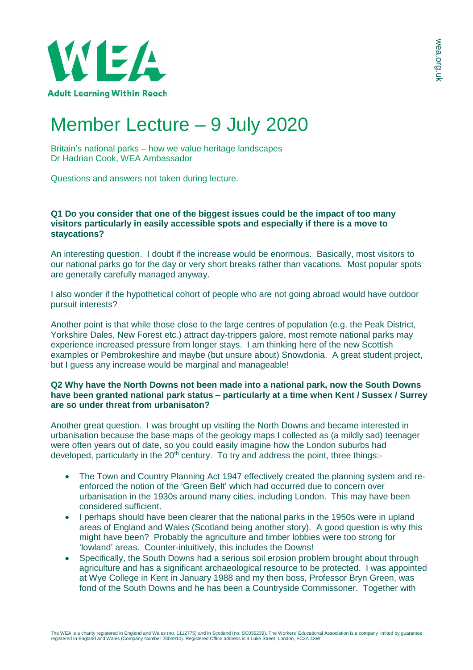

# Member Lecture – 9 July 2020

Britain's national parks – how we value heritage landscapes Dr Hadrian Cook, WEA Ambassador

Questions and answers not taken during lecture.

## **Q1 Do you consider that one of the biggest issues could be the impact of too many visitors particularly in easily accessible spots and especially if there is a move to staycations?**

An interesting question. I doubt if the increase would be enormous. Basically, most visitors to our national parks go for the day or very short breaks rather than vacations. Most popular spots are generally carefully managed anyway.

I also wonder if the hypothetical cohort of people who are not going abroad would have outdoor pursuit interests?

Another point is that while those close to the large centres of population (e.g. the Peak District, Yorkshire Dales, New Forest etc.) attract day-trippers galore, most remote national parks may experience increased pressure from longer stays. I am thinking here of the new Scottish examples or Pembrokeshire and maybe (but unsure about) Snowdonia. A great student project, but I guess any increase would be marginal and manageable!

# **Q2 Why have the North Downs not been made into a national park, now the South Downs have been granted national park status – particularly at a time when Kent / Sussex / Surrey are so under threat from urbanisaton?**

Another great question. I was brought up visiting the North Downs and became interested in urbanisation because the base maps of the geology maps I collected as (a mildly sad) teenager were often years out of date, so you could easily imagine how the London suburbs had developed, particularly in the 20<sup>th</sup> century. To try and address the point, three things:-

- The Town and Country Planning Act 1947 effectively created the planning system and reenforced the notion of the 'Green Belt' which had occurred due to concern over urbanisation in the 1930s around many cities, including London. This may have been considered sufficient.
- I perhaps should have been clearer that the national parks in the 1950s were in upland areas of England and Wales (Scotland being another story). A good question is why this might have been? Probably the agriculture and timber lobbies were too strong for 'lowland' areas. Counter-intuitively, this includes the Downs!
- Specifically, the South Downs had a serious soil erosion problem brought about through agriculture and has a significant archaeological resource to be protected. I was appointed at Wye College in Kent in January 1988 and my then boss, Professor Bryn Green, was fond of the South Downs and he has been a Countryside Commissoner. Together with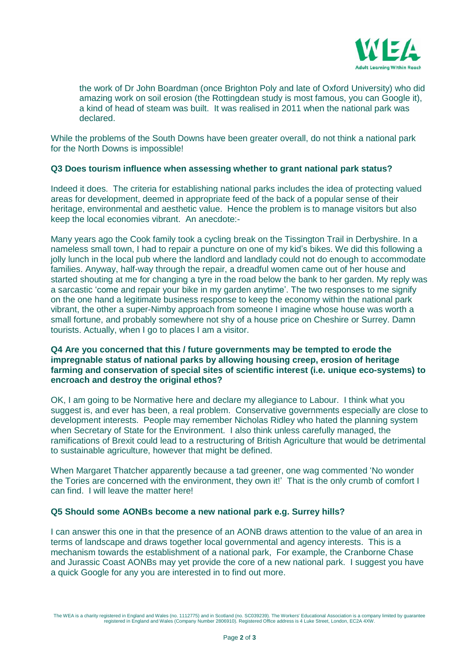

the work of Dr John Boardman (once Brighton Poly and late of Oxford University) who did amazing work on soil erosion (the Rottingdean study is most famous, you can Google it), a kind of head of steam was built. It was realised in 2011 when the national park was declared.

While the problems of the South Downs have been greater overall, do not think a national park for the North Downs is impossible!

### **Q3 Does tourism influence when assessing whether to grant national park status?**

Indeed it does. The criteria for establishing national parks includes the idea of protecting valued areas for development, deemed in appropriate feed of the back of a popular sense of their heritage, environmental and aesthetic value. Hence the problem is to manage visitors but also keep the local economies vibrant. An anecdote:-

Many years ago the Cook family took a cycling break on the Tissington Trail in Derbyshire. In a nameless small town, I had to repair a puncture on one of my kid's bikes. We did this following a jolly lunch in the local pub where the landlord and landlady could not do enough to accommodate families. Anyway, half-way through the repair, a dreadful women came out of her house and started shouting at me for changing a tyre in the road below the bank to her garden. My reply was a sarcastic 'come and repair your bike in my garden anytime'. The two responses to me signify on the one hand a legitimate business response to keep the economy within the national park vibrant, the other a super-Nimby approach from someone I imagine whose house was worth a small fortune, and probably somewhere not shy of a house price on Cheshire or Surrey. Damn tourists. Actually, when I go to places I am a visitor.

# **Q4 Are you concerned that this / future governments may be tempted to erode the impregnable status of national parks by allowing housing creep, erosion of heritage farming and conservation of special sites of scientific interest (i.e. unique eco-systems) to encroach and destroy the original ethos?**

OK, I am going to be Normative here and declare my allegiance to Labour. I think what you suggest is, and ever has been, a real problem. Conservative governments especially are close to development interests. People may remember Nicholas Ridley who hated the planning system when Secretary of State for the Environment. I also think unless carefully managed, the ramifications of Brexit could lead to a restructuring of British Agriculture that would be detrimental to sustainable agriculture, however that might be defined.

When Margaret Thatcher apparently because a tad greener, one wag commented 'No wonder the Tories are concerned with the environment, they own it!' That is the only crumb of comfort I can find. I will leave the matter here!

### **Q5 Should some AONBs become a new national park e.g. Surrey hills?**

I can answer this one in that the presence of an AONB draws attention to the value of an area in terms of landscape and draws together local governmental and agency interests. This is a mechanism towards the establishment of a national park, For example, the Cranborne Chase and Jurassic Coast AONBs may yet provide the core of a new national park. I suggest you have a quick Google for any you are interested in to find out more.

The WEA is a charity registered in England and Wales (no. 1112775) and in Scotland (no. SC039239). The Workers' Educational Association is a company limited by guarantee<br>registered in England and Wales (Company Number 2806